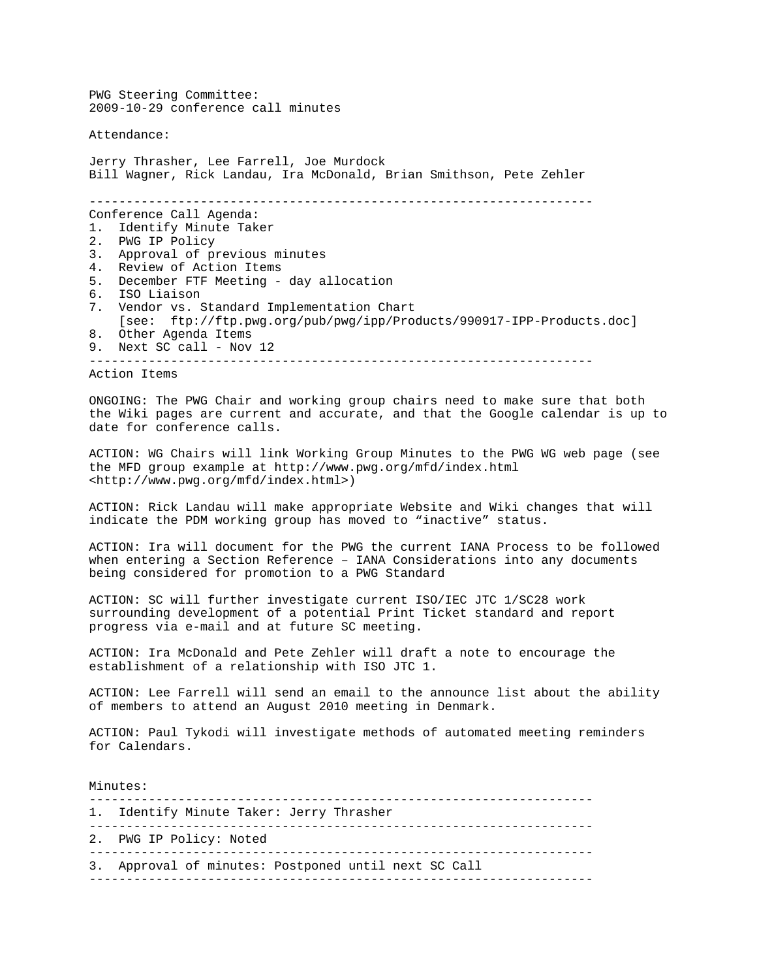PWG Steering Committee: 2009-10-29 conference call minutes

Attendance:

Jerry Thrasher, Lee Farrell, Joe Murdock Bill Wagner, Rick Landau, Ira McDonald, Brian Smithson, Pete Zehler -------------------------------------------------------------------- Conference Call Agenda: 1. Identify Minute Taker<br>2. PWG IP Policy PWG IP Policy 3. Approval of previous minutes 4. Review of Action Items<br>5. December FTF Meeting -5. December FTF Meeting - day allocation 6. ISO Liaison 7. Vendor vs. Standard Implementation Chart [see: ftp://ftp.pwg.org/pub/pwg/ipp/Products/990917-IPP-Products.doc] 8. Other Agenda Items 9. Next SC call - Nov 12 --------------------------------------------------------------------

Action Items

ONGOING: The PWG Chair and working group chairs need to make sure that both the Wiki pages are current and accurate, and that the Google calendar is up to date for conference calls.

ACTION: WG Chairs will link Working Group Minutes to the PWG WG web page (see the MFD group example at http://www.pwg.org/mfd/index.html <http://www.pwg.org/mfd/index.html>)

ACTION: Rick Landau will make appropriate Website and Wiki changes that will indicate the PDM working group has moved to "inactive" status.

ACTION: Ira will document for the PWG the current IANA Process to be followed when entering a Section Reference – IANA Considerations into any documents being considered for promotion to a PWG Standard

ACTION: SC will further investigate current ISO/IEC JTC 1/SC28 work surrounding development of a potential Print Ticket standard and report progress via e-mail and at future SC meeting.

ACTION: Ira McDonald and Pete Zehler will draft a note to encourage the establishment of a relationship with ISO JTC 1.

ACTION: Lee Farrell will send an email to the announce list about the ability of members to attend an August 2010 meeting in Denmark.

ACTION: Paul Tykodi will investigate methods of automated meeting reminders for Calendars.

Minutes:

-------------------------------------------------------------------- 1. Identify Minute Taker: Jerry Thrasher

--------------------------------------------------------------------

2. PWG IP Policy: Noted

--------------------------------------------------------------------

3. Approval of minutes: Postponed until next SC Call --------------------------------------------------------------------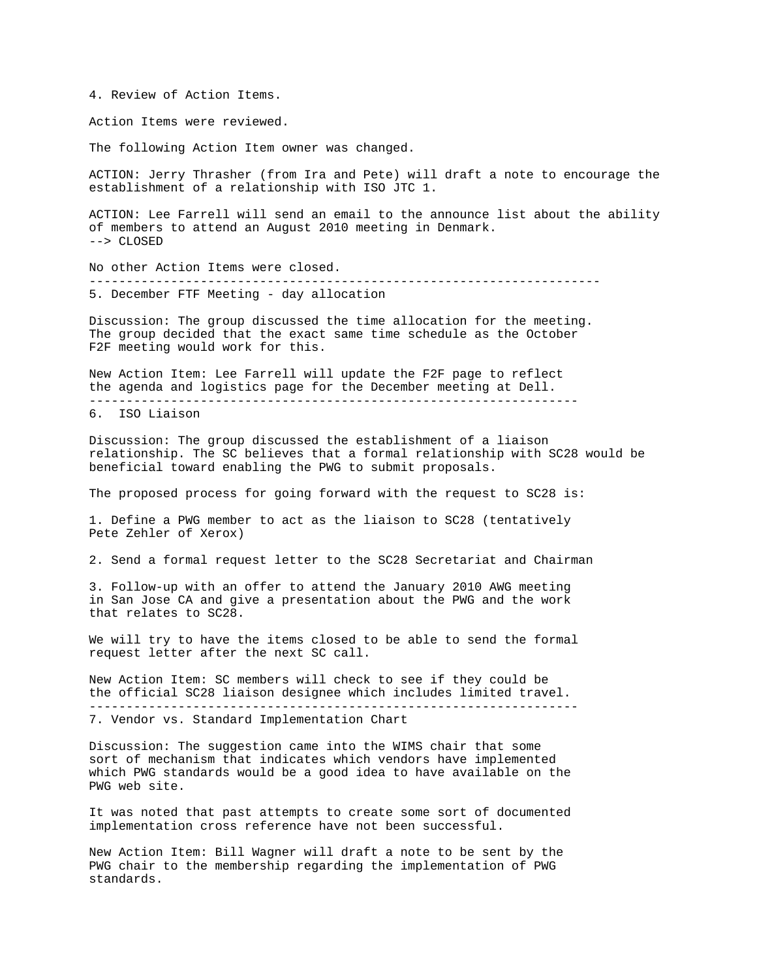4. Review of Action Items.

Action Items were reviewed.

The following Action Item owner was changed.

ACTION: Jerry Thrasher (from Ira and Pete) will draft a note to encourage the establishment of a relationship with ISO JTC 1.

ACTION: Lee Farrell will send an email to the announce list about the ability of members to attend an August 2010 meeting in Denmark. --> CLOSED

No other Action Items were closed. --------------------------------------------------------------------- 5. December FTF Meeting - day allocation

Discussion: The group discussed the time allocation for the meeting. The group decided that the exact same time schedule as the October F2F meeting would work for this.

New Action Item: Lee Farrell will update the F2F page to reflect the agenda and logistics page for the December meeting at Dell. ------------------------------------------------------------------

6. ISO Liaison

Discussion: The group discussed the establishment of a liaison relationship. The SC believes that a formal relationship with SC28 would be beneficial toward enabling the PWG to submit proposals.

The proposed process for going forward with the request to SC28 is:

1. Define a PWG member to act as the liaison to SC28 (tentatively Pete Zehler of Xerox)

2. Send a formal request letter to the SC28 Secretariat and Chairman

3. Follow-up with an offer to attend the January 2010 AWG meeting in San Jose CA and give a presentation about the PWG and the work that relates to SC28.

We will try to have the items closed to be able to send the formal request letter after the next SC call.

New Action Item: SC members will check to see if they could be the official SC28 liaison designee which includes limited travel. ------------------------------------------------------------------

7. Vendor vs. Standard Implementation Chart

Discussion: The suggestion came into the WIMS chair that some sort of mechanism that indicates which vendors have implemented which PWG standards would be a good idea to have available on the PWG web site.

It was noted that past attempts to create some sort of documented implementation cross reference have not been successful.

New Action Item: Bill Wagner will draft a note to be sent by the PWG chair to the membership regarding the implementation of PWG standards.